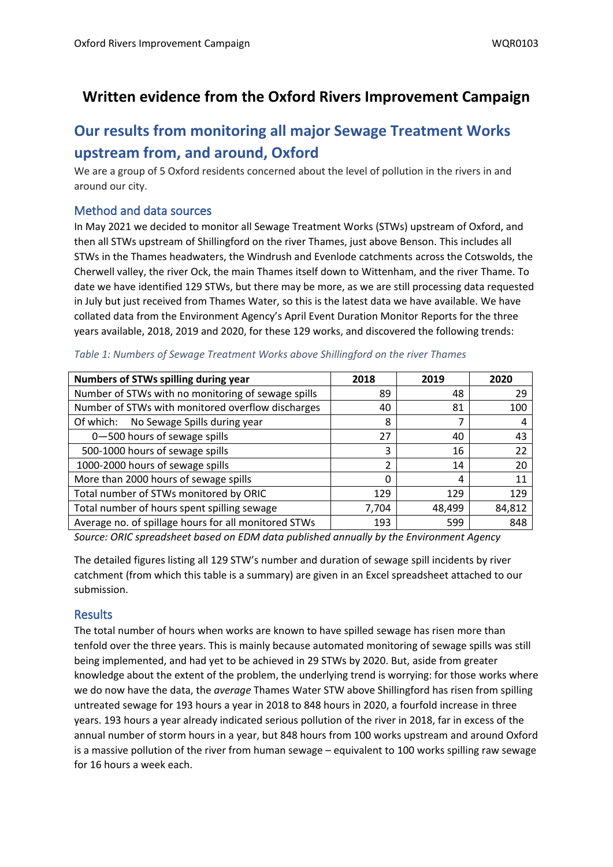## **Written evidence from the Oxford Rivers Improvement Campaign**

# **Our results from monitoring all major Sewage Treatment Works upstream from, and around, Oxford**

We are a group of 5 Oxford residents concerned about the level of pollution in the rivers in and around our city.

#### **Method and data sources**

In May 2021 we decided to monitor all Sewage Treatment Works (STWs) upstream of Oxford, and then all STWs upstream of Shillingford on the river Thames, just above Benson. This includes all STWs in the Thames headwaters, the Windrush and Evenlode catchments across the Cotswolds, the Cherwell valley, the river Ock, the main Thames itself down to Wittenham, and the river Thame. To date we have identified 129 STWs, but there may be more, as we are still processing data requested in July but just received from Thames Water, so this is the latest data we have available. We have collated data from the Environment Agency's April Event Duration Monitor Reports for the three years available, 2018, 2019 and 2020, for these 129 works, and discovered the following trends:

| Numbers of STWs spilling during year                 | 2018  | 2019   | 2020   |
|------------------------------------------------------|-------|--------|--------|
| Number of STWs with no monitoring of sewage spills   | 89    | 48     | 29     |
| Number of STWs with monitored overflow discharges    | 40    | 81     | 100    |
| Of which: No Sewage Spills during year               | 8     |        | 4      |
| 0-500 hours of sewage spills                         | 27    | 40     | 43     |
| 500-1000 hours of sewage spills                      | 3     | 16     | 22     |
| 1000-2000 hours of sewage spills                     | າ     | 14     | 20     |
| More than 2000 hours of sewage spills                | 0     | 4      | 11     |
| Total number of STWs monitored by ORIC               | 129   | 129    | 129    |
| Total number of hours spent spilling sewage          | 7,704 | 48,499 | 84,812 |
| Average no. of spillage hours for all monitored STWs | 193   | 599    | 848    |

*Table 1: Numbers of Sewage Treatment Works above Shillingford on the river Thames*

*Source: ORIC spreadsheet based on EDM data published annually by the Environment Agency*

The detailed figures listing all 129 STW's number and duration of sewage spill incidents by river catchment (from which this table is a summary) are given in an Excel spreadsheet attached to our submission.

### **Results**

The total number of hours when works are known to have spilled sewage has risen more than tenfold over the three years. This is mainly because automated monitoring of sewage spills was still being implemented, and had yet to be achieved in 29 STWs by 2020. But, aside from greater knowledge about the extent of the problem, the underlying trend is worrying: for those works where we do now have the data, the *average* Thames Water STW above Shillingford has risen from spilling untreated sewage for 193 hours a year in 2018 to 848 hours in 2020, a fourfold increase in three years. 193 hours a year already indicated serious pollution of the river in 2018, far in excess of the annual number of storm hours in a year, but 848 hours from 100 works upstream and around Oxford is a massive pollution of the river from human sewage – equivalent to 100 works spilling raw sewage for 16 hours a week each.